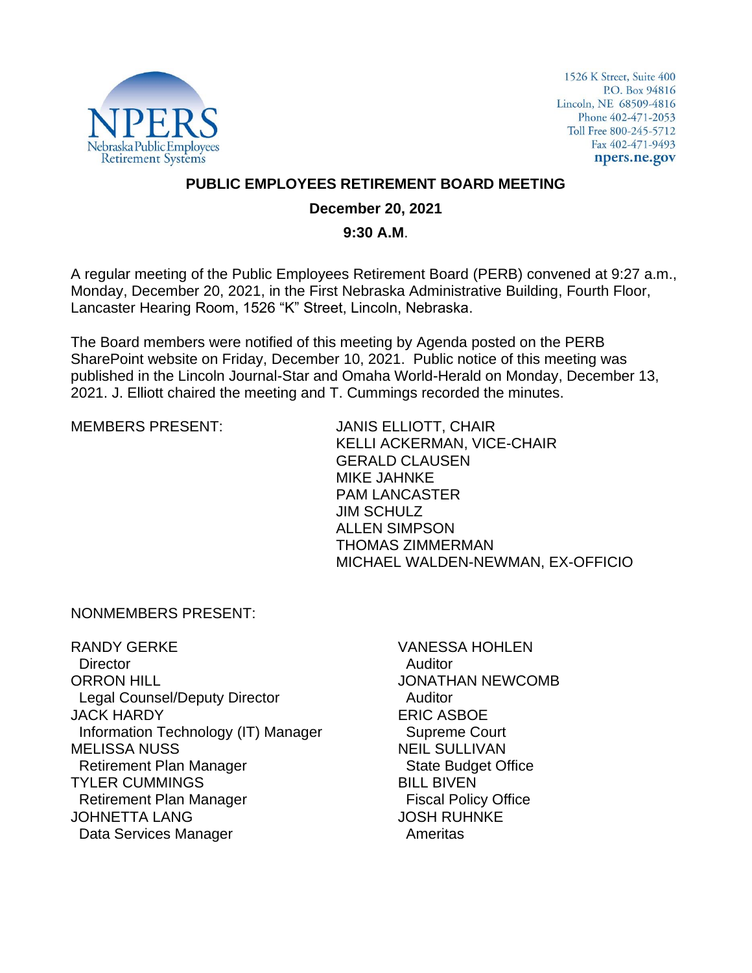

1526 K Street, Suite 400 P.O. Box 94816 Lincoln, NE 68509-4816 Phone 402-471-2053 Toll Free 800-245-5712 Fax 402-471-9493 npers.ne.gov

### **PUBLIC EMPLOYEES RETIREMENT BOARD MEETING**

#### **December 20, 2021**

#### **9:30 A.M**.

A regular meeting of the Public Employees Retirement Board (PERB) convened at 9:27 a.m., Monday, December 20, 2021, in the First Nebraska Administrative Building, Fourth Floor, Lancaster Hearing Room, 1526 "K" Street, Lincoln, Nebraska.

The Board members were notified of this meeting by Agenda posted on the PERB SharePoint website on Friday, December 10, 2021. Public notice of this meeting was published in the Lincoln Journal-Star and Omaha World-Herald on Monday, December 13, 2021. J. Elliott chaired the meeting and T. Cummings recorded the minutes.

MEMBERS PRESENT: JANIS ELLIOTT, CHAIR KELLI ACKERMAN, VICE-CHAIR GERALD CLAUSEN MIKE JAHNKE PAM LANCASTER JIM SCHULZ ALLEN SIMPSON THOMAS ZIMMERMAN MICHAEL WALDEN-NEWMAN, EX-OFFICIO

### NONMEMBERS PRESENT:

RANDY GERKE **Director** ORRON HILL Legal Counsel/Deputy Director JACK HARDY Information Technology (IT) Manager MELISSA NUSS Retirement Plan Manager TYLER CUMMINGS Retirement Plan Manager JOHNETTA LANG Data Services Manager

VANESSA HOHLEN Auditor JONATHAN NEWCOMB Auditor ERIC ASBOE Supreme Court NEIL SULLIVAN State Budget Office BILL BIVEN Fiscal Policy Office JOSH RUHNKE Ameritas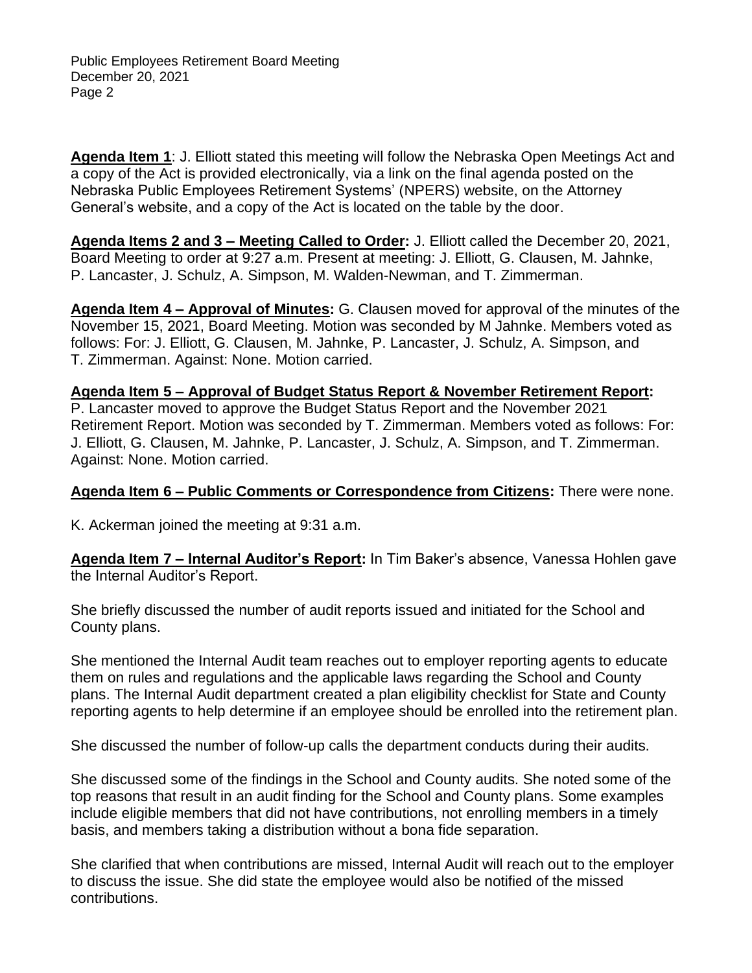**Agenda Item 1**: J. Elliott stated this meeting will follow the Nebraska Open Meetings Act and a copy of the Act is provided electronically, via a link on the final agenda posted on the Nebraska Public Employees Retirement Systems' (NPERS) website, on the Attorney General's website, and a copy of the Act is located on the table by the door.

**Agenda Items 2 and 3 – Meeting Called to Order:** J. Elliott called the December 20, 2021, Board Meeting to order at 9:27 a.m. Present at meeting: J. Elliott, G. Clausen, M. Jahnke, P. Lancaster, J. Schulz, A. Simpson, M. Walden-Newman, and T. Zimmerman.

**Agenda Item 4 – Approval of Minutes:** G. Clausen moved for approval of the minutes of the November 15, 2021, Board Meeting. Motion was seconded by M Jahnke. Members voted as follows: For: J. Elliott, G. Clausen, M. Jahnke, P. Lancaster, J. Schulz, A. Simpson, and T. Zimmerman. Against: None. Motion carried.

**Agenda Item 5 – Approval of Budget Status Report & November Retirement Report:**  P. Lancaster moved to approve the Budget Status Report and the November 2021 Retirement Report. Motion was seconded by T. Zimmerman. Members voted as follows: For: J. Elliott, G. Clausen, M. Jahnke, P. Lancaster, J. Schulz, A. Simpson, and T. Zimmerman. Against: None. Motion carried.

### **Agenda Item 6 – Public Comments or Correspondence from Citizens:** There were none.

K. Ackerman joined the meeting at 9:31 a.m.

**Agenda Item 7 – Internal Auditor's Report:** In Tim Baker's absence, Vanessa Hohlen gave the Internal Auditor's Report.

She briefly discussed the number of audit reports issued and initiated for the School and County plans.

She mentioned the Internal Audit team reaches out to employer reporting agents to educate them on rules and regulations and the applicable laws regarding the School and County plans. The Internal Audit department created a plan eligibility checklist for State and County reporting agents to help determine if an employee should be enrolled into the retirement plan.

She discussed the number of follow-up calls the department conducts during their audits.

She discussed some of the findings in the School and County audits. She noted some of the top reasons that result in an audit finding for the School and County plans. Some examples include eligible members that did not have contributions, not enrolling members in a timely basis, and members taking a distribution without a bona fide separation.

She clarified that when contributions are missed, Internal Audit will reach out to the employer to discuss the issue. She did state the employee would also be notified of the missed contributions.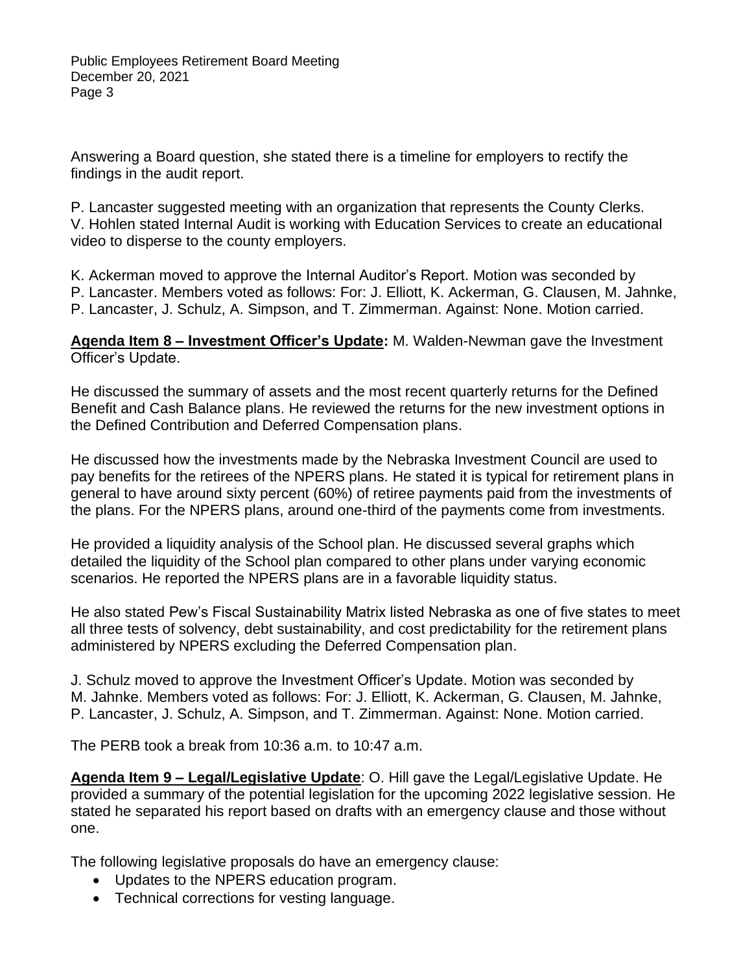Answering a Board question, she stated there is a timeline for employers to rectify the findings in the audit report.

P. Lancaster suggested meeting with an organization that represents the County Clerks. V. Hohlen stated Internal Audit is working with Education Services to create an educational video to disperse to the county employers.

K. Ackerman moved to approve the Internal Auditor's Report. Motion was seconded by P. Lancaster. Members voted as follows: For: J. Elliott, K. Ackerman, G. Clausen, M. Jahnke, P. Lancaster, J. Schulz, A. Simpson, and T. Zimmerman. Against: None. Motion carried.

**Agenda Item 8 – Investment Officer's Update:** M. Walden-Newman gave the Investment Officer's Update.

He discussed the summary of assets and the most recent quarterly returns for the Defined Benefit and Cash Balance plans. He reviewed the returns for the new investment options in the Defined Contribution and Deferred Compensation plans.

He discussed how the investments made by the Nebraska Investment Council are used to pay benefits for the retirees of the NPERS plans. He stated it is typical for retirement plans in general to have around sixty percent (60%) of retiree payments paid from the investments of the plans. For the NPERS plans, around one-third of the payments come from investments.

He provided a liquidity analysis of the School plan. He discussed several graphs which detailed the liquidity of the School plan compared to other plans under varying economic scenarios. He reported the NPERS plans are in a favorable liquidity status.

He also stated Pew's Fiscal Sustainability Matrix listed Nebraska as one of five states to meet all three tests of solvency, debt sustainability, and cost predictability for the retirement plans administered by NPERS excluding the Deferred Compensation plan.

J. Schulz moved to approve the Investment Officer's Update. Motion was seconded by M. Jahnke. Members voted as follows: For: J. Elliott, K. Ackerman, G. Clausen, M. Jahnke, P. Lancaster, J. Schulz, A. Simpson, and T. Zimmerman. Against: None. Motion carried.

The PERB took a break from 10:36 a.m. to 10:47 a.m.

**Agenda Item 9 – Legal/Legislative Update**: O. Hill gave the Legal/Legislative Update. He provided a summary of the potential legislation for the upcoming 2022 legislative session. He stated he separated his report based on drafts with an emergency clause and those without one.

The following legislative proposals do have an emergency clause:

- Updates to the NPERS education program.
- Technical corrections for vesting language.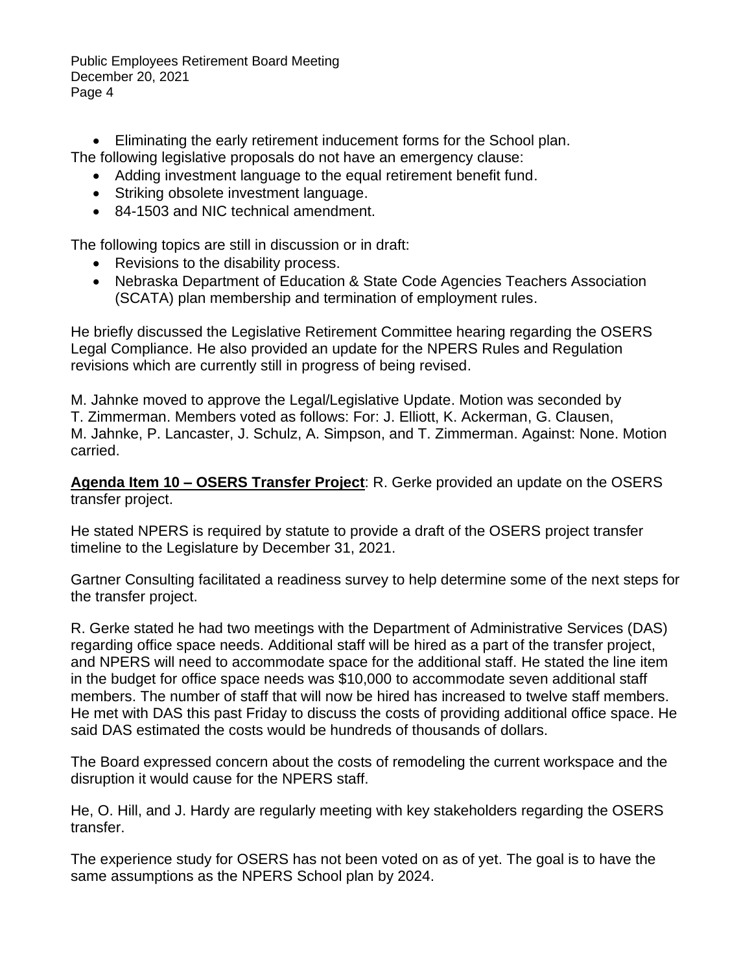Public Employees Retirement Board Meeting December 20, 2021 Page 4

• Eliminating the early retirement inducement forms for the School plan.

- The following legislative proposals do not have an emergency clause:
	- Adding investment language to the equal retirement benefit fund.
	- Striking obsolete investment language.
	- 84-1503 and NIC technical amendment.

The following topics are still in discussion or in draft:

- Revisions to the disability process.
- Nebraska Department of Education & State Code Agencies Teachers Association (SCATA) plan membership and termination of employment rules.

He briefly discussed the Legislative Retirement Committee hearing regarding the OSERS Legal Compliance. He also provided an update for the NPERS Rules and Regulation revisions which are currently still in progress of being revised.

M. Jahnke moved to approve the Legal/Legislative Update. Motion was seconded by T. Zimmerman. Members voted as follows: For: J. Elliott, K. Ackerman, G. Clausen, M. Jahnke, P. Lancaster, J. Schulz, A. Simpson, and T. Zimmerman. Against: None. Motion carried.

**Agenda Item 10 – OSERS Transfer Project**: R. Gerke provided an update on the OSERS transfer project.

He stated NPERS is required by statute to provide a draft of the OSERS project transfer timeline to the Legislature by December 31, 2021.

Gartner Consulting facilitated a readiness survey to help determine some of the next steps for the transfer project.

R. Gerke stated he had two meetings with the Department of Administrative Services (DAS) regarding office space needs. Additional staff will be hired as a part of the transfer project, and NPERS will need to accommodate space for the additional staff. He stated the line item in the budget for office space needs was \$10,000 to accommodate seven additional staff members. The number of staff that will now be hired has increased to twelve staff members. He met with DAS this past Friday to discuss the costs of providing additional office space. He said DAS estimated the costs would be hundreds of thousands of dollars.

The Board expressed concern about the costs of remodeling the current workspace and the disruption it would cause for the NPERS staff.

He, O. Hill, and J. Hardy are regularly meeting with key stakeholders regarding the OSERS transfer.

The experience study for OSERS has not been voted on as of yet. The goal is to have the same assumptions as the NPERS School plan by 2024.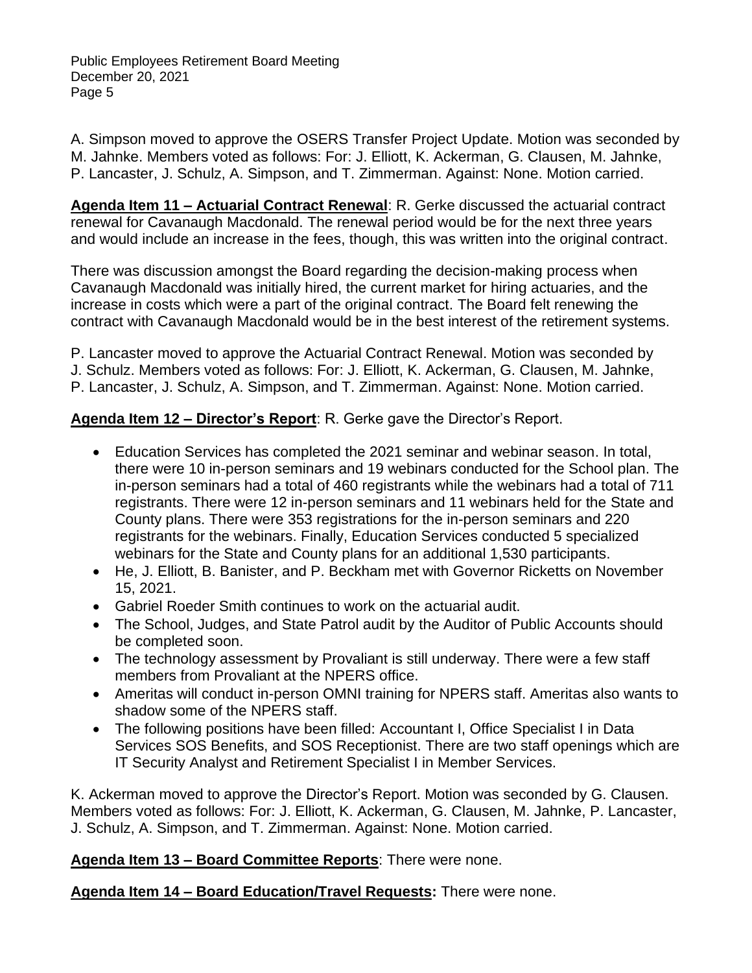Public Employees Retirement Board Meeting December 20, 2021 Page 5

A. Simpson moved to approve the OSERS Transfer Project Update. Motion was seconded by M. Jahnke. Members voted as follows: For: J. Elliott, K. Ackerman, G. Clausen, M. Jahnke, P. Lancaster, J. Schulz, A. Simpson, and T. Zimmerman. Against: None. Motion carried.

**Agenda Item 11 – Actuarial Contract Renewal**: R. Gerke discussed the actuarial contract renewal for Cavanaugh Macdonald. The renewal period would be for the next three years and would include an increase in the fees, though, this was written into the original contract.

There was discussion amongst the Board regarding the decision-making process when Cavanaugh Macdonald was initially hired, the current market for hiring actuaries, and the increase in costs which were a part of the original contract. The Board felt renewing the contract with Cavanaugh Macdonald would be in the best interest of the retirement systems.

P. Lancaster moved to approve the Actuarial Contract Renewal. Motion was seconded by J. Schulz. Members voted as follows: For: J. Elliott, K. Ackerman, G. Clausen, M. Jahnke, P. Lancaster, J. Schulz, A. Simpson, and T. Zimmerman. Against: None. Motion carried.

# **Agenda Item 12 – Director's Report**: R. Gerke gave the Director's Report.

- Education Services has completed the 2021 seminar and webinar season. In total, there were 10 in-person seminars and 19 webinars conducted for the School plan. The in-person seminars had a total of 460 registrants while the webinars had a total of 711 registrants. There were 12 in-person seminars and 11 webinars held for the State and County plans. There were 353 registrations for the in-person seminars and 220 registrants for the webinars. Finally, Education Services conducted 5 specialized webinars for the State and County plans for an additional 1,530 participants.
- He, J. Elliott, B. Banister, and P. Beckham met with Governor Ricketts on November 15, 2021.
- Gabriel Roeder Smith continues to work on the actuarial audit.
- The School, Judges, and State Patrol audit by the Auditor of Public Accounts should be completed soon.
- The technology assessment by Provaliant is still underway. There were a few staff members from Provaliant at the NPERS office.
- Ameritas will conduct in-person OMNI training for NPERS staff. Ameritas also wants to shadow some of the NPERS staff.
- The following positions have been filled: Accountant I, Office Specialist I in Data Services SOS Benefits, and SOS Receptionist. There are two staff openings which are IT Security Analyst and Retirement Specialist I in Member Services.

K. Ackerman moved to approve the Director's Report. Motion was seconded by G. Clausen. Members voted as follows: For: J. Elliott, K. Ackerman, G. Clausen, M. Jahnke, P. Lancaster, J. Schulz, A. Simpson, and T. Zimmerman. Against: None. Motion carried.

# **Agenda Item 13 – Board Committee Reports**: There were none.

**Agenda Item 14 – Board Education/Travel Requests:** There were none.